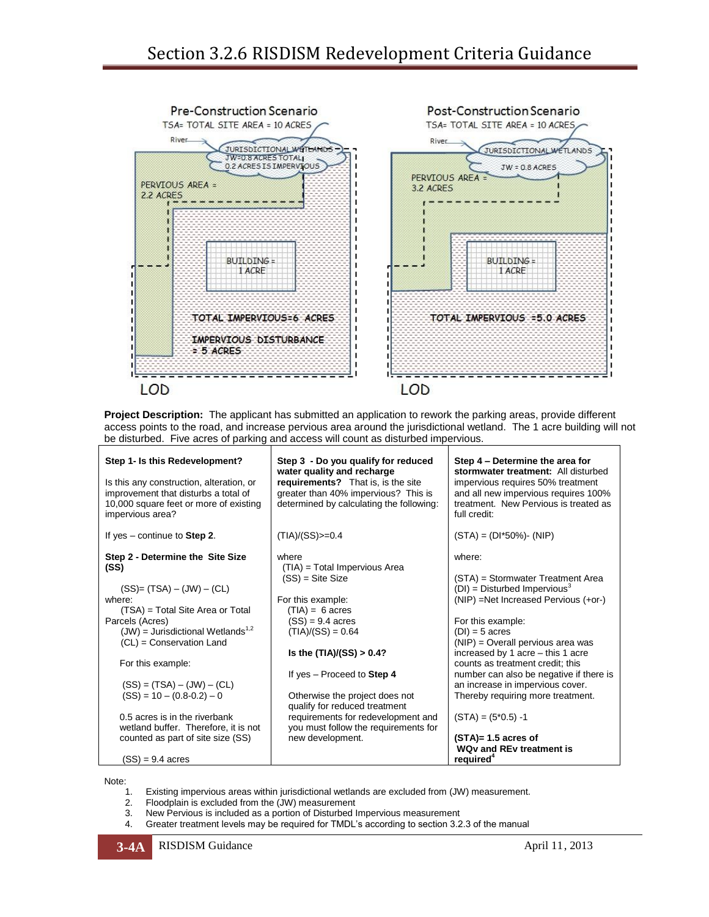

**Project Description:** The applicant has submitted an application to rework the parking areas, provide different access points to the road, and increase pervious area around the jurisdictional wetland. The 1 acre building will not be disturbed. Five acres of parking and access will count as disturbed impervious.

| Step 1- Is this Redevelopment?<br>Is this any construction, alteration, or<br>improvement that disturbs a total of<br>10,000 square feet or more of existing<br>impervious area?                                                                                                                                                                                                                                     | Step 3 - Do you qualify for reduced<br>water quality and recharge<br>requirements? That is, is the site<br>greater than 40% impervious? This is<br>determined by calculating the following:                                                                                                                                                                                          | Step 4 – Determine the area for<br>stormwater treatment: All disturbed<br>impervious requires 50% treatment<br>and all new impervious requires 100%<br>treatment. New Pervious is treated as<br>full credit:                                                                                                                                                                                                                                                                                       |
|----------------------------------------------------------------------------------------------------------------------------------------------------------------------------------------------------------------------------------------------------------------------------------------------------------------------------------------------------------------------------------------------------------------------|--------------------------------------------------------------------------------------------------------------------------------------------------------------------------------------------------------------------------------------------------------------------------------------------------------------------------------------------------------------------------------------|----------------------------------------------------------------------------------------------------------------------------------------------------------------------------------------------------------------------------------------------------------------------------------------------------------------------------------------------------------------------------------------------------------------------------------------------------------------------------------------------------|
| If yes $-$ continue to Step 2.                                                                                                                                                                                                                                                                                                                                                                                       | $(TIA)/(SS)$ = 0.4                                                                                                                                                                                                                                                                                                                                                                   | $(STA) = (DI*50\%) - (NIP)$                                                                                                                                                                                                                                                                                                                                                                                                                                                                        |
| Step 2 - Determine the Site Size<br>(SS)<br>$(SS)=(TSA)-(JW)-(CL)$<br>where:<br>(TSA) = Total Site Area or Total<br>Parcels (Acres)<br>$(JW)$ = Jurisdictional Wetlands <sup>1,2</sup><br>(CL) = Conservation Land<br>For this example:<br>$(SS) = (TSA) - (JW) - (CL)$<br>$(SS) = 10 - (0.8-0.2) - 0$<br>0.5 acres is in the riverbank<br>wetland buffer. Therefore, it is not<br>counted as part of site size (SS) | where<br>(TIA) = Total Impervious Area<br>$(SS) = Site Size$<br>For this example:<br>$(TIA) = 6$ acres<br>$(SS) = 9.4$ acres<br>$(TIA)/(SS) = 0.64$<br>Is the $(TIA)/(SS) > 0.4?$<br>If yes - Proceed to Step 4<br>Otherwise the project does not<br>qualify for reduced treatment<br>requirements for redevelopment and<br>you must follow the requirements for<br>new development. | where:<br>(STA) = Stormwater Treatment Area<br>$(DI)$ = Disturbed Impervious <sup>3</sup><br>(NIP) =Net Increased Pervious (+or-)<br>For this example:<br>$(DI) = 5$ acres<br>$(NIP)$ = Overall pervious area was<br>increased by 1 acre - this 1 acre<br>counts as treatment credit; this<br>number can also be negative if there is<br>an increase in impervious cover.<br>Thereby requiring more treatment.<br>$(STA) = (5*0.5) -1$<br>$(STA)= 1.5$ acres of<br><b>WQv and REv treatment is</b> |
| $(SS) = 9.4 \; acres$                                                                                                                                                                                                                                                                                                                                                                                                |                                                                                                                                                                                                                                                                                                                                                                                      | required <sup>4</sup>                                                                                                                                                                                                                                                                                                                                                                                                                                                                              |

Note:

- 1. Existing impervious areas within jurisdictional wetlands are excluded from (JW) measurement.
- 2. Floodplain is excluded from the (JW) measurement<br>3. New Pervious is included as a portion of Disturbed I
- 3. New Pervious is included as a portion of Disturbed Impervious measurement
- 4. Greater treatment levels may be required for TMDL's according to section 3.2.3 of the manual